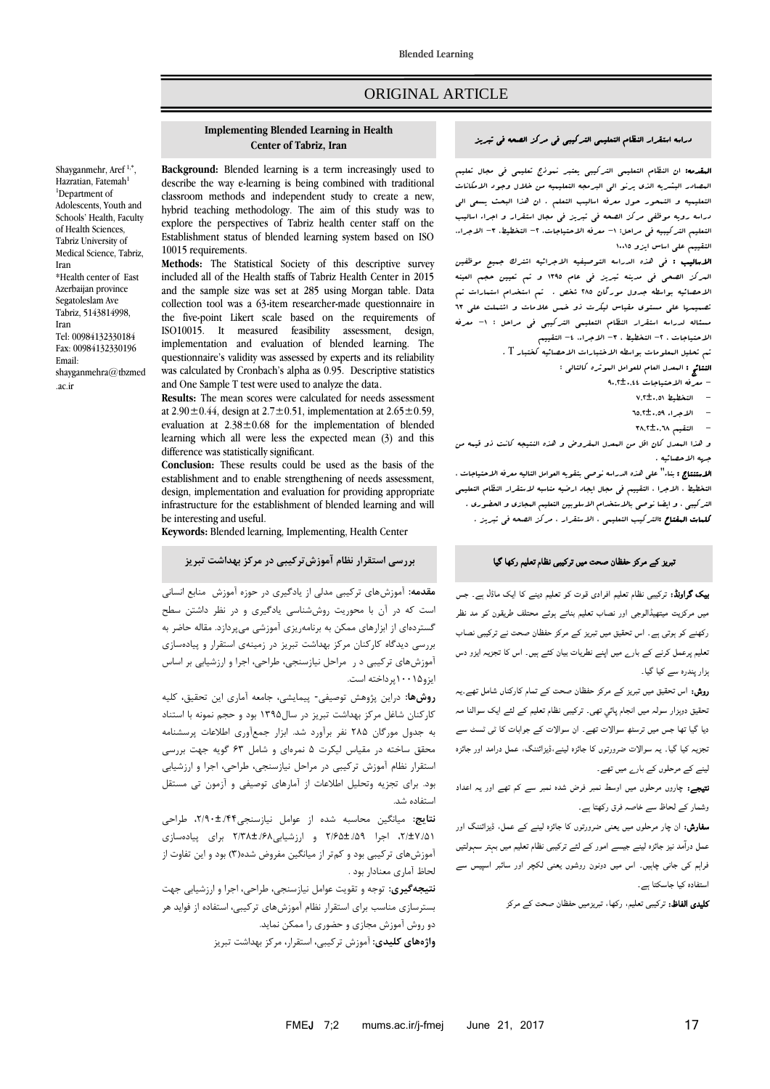# ORIGINAL ARTICLE

#### **Implementing Blended Learning in Health Center of Tabriz, Iran**

Shayganmehr, Aref<sup>1,\*</sup>, Hazratian, Fatemah<sup>1</sup> <sup>1</sup>Department of Adolescents, Youth and Schools' Health, Faculty of Health Sciences, Tabriz University of Medical Science, Tabriz, Iran \*Health center of East Azerbaijan province Segatoleslam Ave Tabriz, 5143814998, Iran Tel: 00984132330184 Fax: 00984132330196 Email: [shayganmehra@tbzmed](mailto:shayganmehra@tbzmed.ac.ir) [.ac.ir](mailto:shayganmehra@tbzmed.ac.ir)

**Background:** Blended learning is a term increasingly used to describe the way e-learning is being combined with traditional classroom methods and independent study to create a new, hybrid teaching methodology. The aim of this study was to explore the perspectives of Tabriz health center staff on the Establishment status of blended learning system based on ISO 10015 requirements.

**Methods:** The Statistical Society of this descriptive survey included all of the Health staffs of Tabriz Health Center in 2015 and the sample size was set at 285 using Morgan table. Data collection tool was a 63-item researcher-made questionnaire in the five-point Likert scale based on the requirements of ISO10015. It measured feasibility assessment, design, implementation and evaluation of blended learning. The questionnaire's validity was assessed by experts and its reliability was calculated by Cronbach's alpha as 0.95. Descriptive statistics and One Sample T test were used to analyze the data.

**Results:** The mean scores were calculated for needs assessment at 2.90 $\pm$ 0.44, design at 2.7 $\pm$ 0.51, implementation at 2.65 $\pm$ 0.59, evaluation at  $2.38 \pm 0.68$  for the implementation of blended learning which all were less the expected mean (3) and this difference was statistically significant.

**Conclusion:** These results could be used as the basis of the establishment and to enable strengthening of needs assessment, design, implementation and evaluation for providing appropriate infrastructure for the establishment of blended learning and will be interesting and useful.

**Keywords:** Blended learning, Implementing, Health Center

# **بررسی استقرار نظام آموزشتركيبی در مركز بهداشت تبريز**

<mark>مقدمه:</mark> آموزشهای ترکیبی مدلی از یادگیری در حوزه آموزش منابع انسانی است که در آن با محوریت روششناسی یادگیری و در نظر داشتن سطح گستردهای از ابزارهای ممکن به برنامهریزی آموزشی میپردازد. مقاله حاضر به بررسی دیدگاه کارکنان مرکز بهداشت تبریز در زمینهی استقرار و پیادهسازی آموزشهای ترکیبی در مراحل نیازسنجی، طراحی، اجرا و ارزشیابی بر اساس ایزو00001پرداختهاست.

**روشها**: دراین پژوهش توصیفی- پیمایشی، جامعه آماری این تحقیق، کلیه کارکنان شاغل مرکز بهداشت تبریز در سال1۳۹۵ بود و حجم نمونه با استناد به جدول مورگان 581 نفر برآورد شد. ابزار جمعآوری اطالعات پرسشنامه محقق ساخته در مقیاس لیکرت ۵ نمرهای و شامل ۶۳ گویه جهت بررسی استقرار نظام آموزش ترکیبی در مراحل نیازسنجی، طراحی، اجرا و ارزشیابی بود. برای تجزیه وتحلیل اطالعات از آمارهای توصیفی و آزمون تی مستقل استفادهشد.

**نتايج:** میانگین محاسبه شده از عوامل نیازسنجی،5/30±./44 طراحی ،5/±7./10 اجرا 5/31±./13 و ارزشیابی5/98±./38 برای پیادهسازی آموزشهای ترکیبی بود و کمتر از میانگین مفروض شده(۳) بود و این تفاوت از لحاظ آماری معنادار بود .

<mark>نتيجهگيري:</mark> توجه و تقویت عوامل نیازسنجی، طراحی، اجرا و ارزشیابی جهت بسترسازی مناسب برای استقرار نظام آموزشهای ترکیبی، استفاده از فواید هر دو روش آموزش مجازی و حضوری را ممکن نماید. **واژههای کلیدی:** آموزش ترکیبی، استقرار، مرکز بهداشت تبریز

### دراسه استقرار النظام التعلیمی الترکیبی فی مرکز الصحه فی تبریز

المقدمه: ان النظام التعلیمی الترکیبی یعتبر نموذج تعلیمی فی مجال تعلیم المصادر البشریه الذی یرنو الی البرمجه التعلیمیه من خالل وجود االمکانات التعلیمیه و التمحور حول معرفه اسالیب التعلم . ان هذا البحث یسعی الی دراسه رویه موظفی مرکز الصحه فی تبریز فی مجال استقرار و اجراء اسالیب التعلیم الترکیبیه فی مراحل: ١- معرفه الاحتیاجات، ٢- التخطیط، ٣- الاجراء، التقییم علی اساس ایزو 10011

االسالیب : فی هذه الدراسه التوصیفیه االجرائیه اشترک جمیع موظفین المرکز الصحی فی مدینه تبریز فی عام 1331 و تم تعیین حجم العینه االحصائیه بواسطه جدول مورگان 281 شخص . تم استخدام استمارات تم تصمیمها علی مستوی مقیاس لیکرت ذو خمس عالمات و اشتملت علی 33 مسئاله لدراسه استقرار النظام التعلیمی الترکیبی فی مراحل : -1 معرفه االحتیاجات ، -2 التخطیط ، -3 االجراء، -4 التقییم

تم تحلیل المعلومات بواسطه االختبارات االحصائیه کختبار T .

النتائج : المعدل العام للعوامل الموثره کالتالی :

- معرفه الاحتیاجات £4.,t+.
	- $-$  التخطیط 0,01±0,0
	- االجراء 3142±0413
	- التقیم 3842±0438

و هذا المعدل کان اقل من المعدل المفروض و هذه النتیجه کانت ذو قیمه من جهه االحصائیه .

**اللهتنتاج :** بناء" علی هذه الدراسه نوصی بتقویه العوامل التالیه معرفه الاحتیاجات ، التخطیط ، االجرا ، التقییم فی مجال ایجاد ارضیه مناسبه الستقرار النظام التعلیمی الترکیبی ، و ایضا نوصی باالستخدام االسلوبین التعلیم المجازی و الحضوری . کلمات المفتاح :الترکیب التعلیمی ، االستقرار ، مرکز الصحه فی تبریز .

### تبریز کے مرکز حفظان صحت میں ترکیبی نظام تعلیم رکھا گیا

بیک گراونڈ: ترکیبی نظام تعلیم افرادی قوت کو تعلیم دینے کا ایک ماڈل ہے۔ جس میں مرکزیت میتھیڈالوجی اور نصاب تعلیم بناتے ہوئے محتلف طریقون کو مد نظر رکھنے کو ہوتی ہے۔ اس تحقیق میں تبریز کے مرکز حفظان صحت نے ترکیبی نصاب تعلیم پرعمل کرنے کے بارے میں اپنے نطریات بیان کئے ہیں۔ اس کا تجزیہ ایزو دس ہزار پندرہ سے کیا گیا۔

روش: اس تحقیق میں تبریز کے مرکز حفظان صحت کے تمام کارکناں شامل تھے۔یہ تحقیق دوہزار سولہ میں انجام پائي تھی۔ ترکیبی نظام تعلیم کے لئے ایک سوالنا مہ دیا گیا تھا جس میں ترسٹھ سوالات تھے۔ ان سوالات کے جوابات کا ٹی ٹسٹ سے تجزیہ کیا گیا۔ یہ سوالات ضرورتوں کا جائزہ لینے،ڈیزائننگ، عمل درامد اور جائزہ لینے کے مرحلوں کے بارے میں تھے۔

نتیجے: چاروں مرحلوں میں اوسط نمبر فرض شدہ نمبر سے کم تھے اور یہ اعداد وشمار کے لحاظ سے خاصہ فرق رکھتا ہے۔

سفارش: ان چار مرحلوں میں یعنی ضرورتوں کا جائزہ لینے کے عمل، ڈیزائننگ اور عمل درا مد نیز جائزہ لینے جیسے امور کے لئے ترکیبی ںظام تعلیم میں بہتر سہولتیں فراہم کی جانی چاہیں۔ اس میں دونون روشوں یعنی لکچر اور سائبر اسپیس سے استفادہ کیا جاسکتا ہے۔

کلیدی الفاظ: ترکیبی تعلیم، رکھا، تبریزمیں حفظان صحت کے مرکز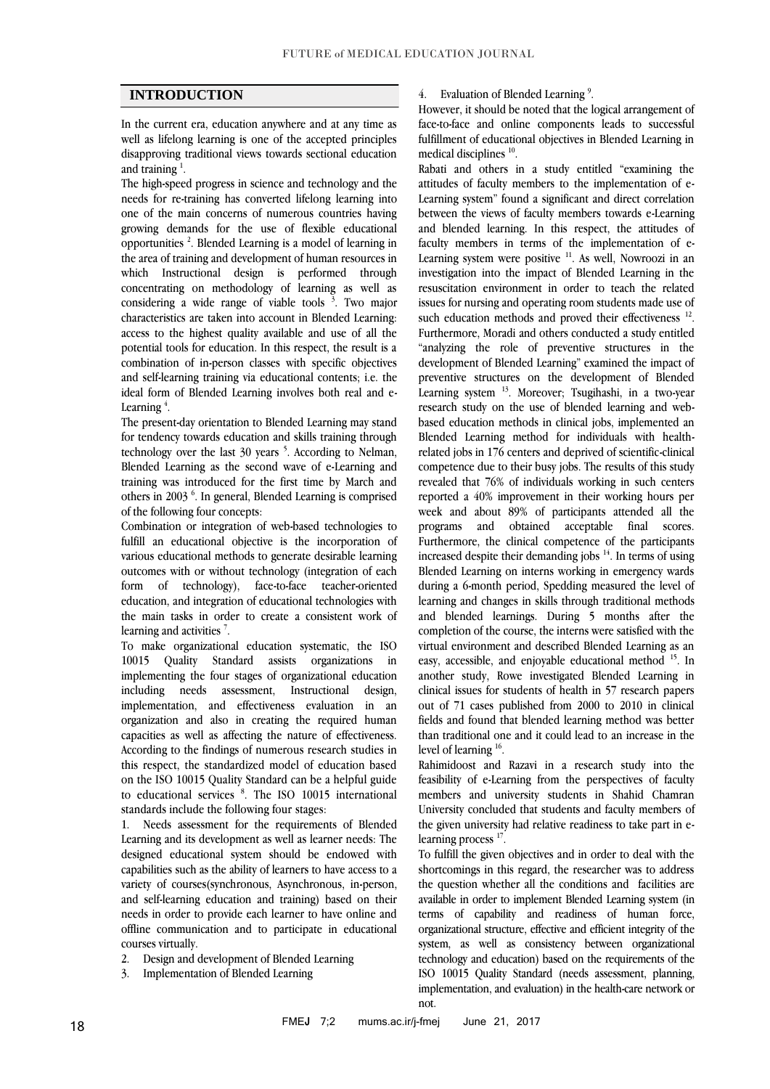# **INTRODUCTION**

In the current era, education anywhere and at any time as well as lifelong learning is one of the accepted principles disapproving traditional views towards sectional education and training  $<sup>1</sup>$ .</sup>

The high-speed progress in science and technology and the needs for re-training has converted lifelong learning into one of the main concerns of numerous countries having growing demands for the use of flexible educational opportunities<sup>2</sup>. Blended Learning is a model of learning in the area of training and development of human resources in which Instructional design is performed through concentrating on methodology of learning as well as considering a wide range of viable tools  $3$ . Two major characteristics are taken into account in Blended Learning: access to the highest quality available and use of all the potential tools for education. In this respect, the result is a combination of in-person classes with specific objectives and self-learning training via educational contents; i.e. the ideal form of Blended Learning involves both real and e-Learning  $4$ .

The present-day orientation to Blended Learning may stand for tendency towards education and skills training through technology over the last  $30$  years  $5$ . According to Nelman, Blended Learning as the second wave of e-Learning and training was introduced for the first time by March and others in 2003<sup>6</sup>. In general, Blended Learning is comprised of the following four concepts:

Combination or integration of web-based technologies to fulfill an educational objective is the incorporation of various educational methods to generate desirable learning outcomes with or without technology (integration of each form of technology), face-to-face teacher-oriented education, and integration of educational technologies with the main tasks in order to create a consistent work of learning and activities<sup>7</sup>.

To make organizational education systematic, the ISO 10015 Quality Standard assists organizations in implementing the four stages of organizational education including needs assessment, Instructional design, implementation, and effectiveness evaluation in an organization and also in creating the required human capacities as well as affecting the nature of effectiveness. According to the findings of numerous research studies in this respect, the standardized model of education based on the ISO 10015 Quality Standard can be a helpful guide to educational services <sup>8</sup>. The ISO 10015 international standards include the following four stages:

1. Needs assessment for the requirements of Blended Learning and its development as well as learner needs: The designed educational system should be endowed with capabilities such as the ability of learners to have access to a variety of courses(synchronous, Asynchronous, in-person, and self-learning education and training) based on their needs in order to provide each learner to have online and offline communication and to participate in educational courses virtually.

- 2. Design and development of Blended Learning
- 3. Implementation of Blended Learning

### 4. Evaluation of Blended Learning<sup>9</sup>.

However, it should be noted that the logical arrangement of face-to-face and online components leads to successful fulfillment of educational objectives in Blended Learning in medical disciplines<sup>10</sup>.

Rabati and others in a study entitled "examining the attitudes of faculty members to the implementation of e-Learning system" found a significant and direct correlation between the views of faculty members towards e-Learning and blended learning. In this respect, the attitudes of faculty members in terms of the implementation of e-Learning system were positive  $11$ . As well, Nowroozi in an investigation into the impact of Blended Learning in the resuscitation environment in order to teach the related issues for nursing and operating room students made use of such education methods and proved their effectiveness  $^{12}$ . Furthermore, Moradi and others conducted a study entitled "analyzing the role of preventive structures in the development of Blended Learning" examined the impact of preventive structures on the development of Blended Learning system <sup>13</sup>. Moreover; Tsugihashi, in a two-year research study on the use of blended learning and webbased education methods in clinical jobs, implemented an Blended Learning method for individuals with healthrelated jobs in 176 centers and deprived of scientific-clinical competence due to their busy jobs. The results of this study revealed that 76% of individuals working in such centers reported a 40% improvement in their working hours per week and about 89% of participants attended all the programs and obtained acceptable final scores. Furthermore, the clinical competence of the participants increased despite their demanding jobs  $14$ . In terms of using Blended Learning on interns working in emergency wards during a 6-month period, Spedding measured the level of learning and changes in skills through traditional methods and blended learnings. During 5 months after the completion of the course, the interns were satisfied with the virtual environment and described Blended Learning as an easy, accessible, and enjoyable educational method <sup>15</sup>. In another study, Rowe investigated Blended Learning in clinical issues for students of health in 57 research papers out of 71 cases published from 2000 to 2010 in clinical fields and found that blended learning method was better than traditional one and it could lead to an increase in the level of learning <sup>16</sup>.

Rahimidoost and Razavi in a research study into the feasibility of e-Learning from the perspectives of faculty members and university students in Shahid Chamran University concluded that students and faculty members of the given university had relative readiness to take part in elearning process<sup>17</sup>.

To fulfill the given objectives and in order to deal with the shortcomings in this regard, the researcher was to address the question whether all the conditions and facilities are available in order to implement Blended Learning system (in terms of capability and readiness of human force, organizational structure, effective and efficient integrity of the system, as well as consistency between organizational technology and education) based on the requirements of the ISO 10015 Quality Standard (needs assessment, planning, implementation, and evaluation) in the health-care network or not.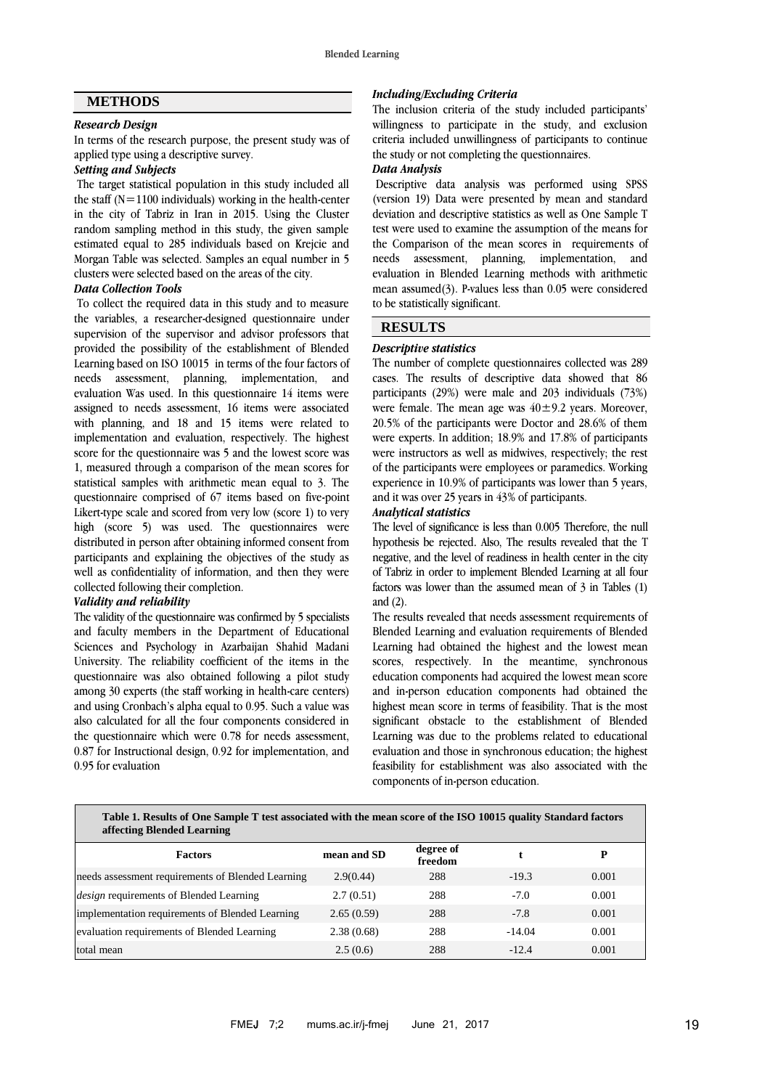### **METHODS**

# *Research Design*

In terms of the research purpose, the present study was of applied type using a descriptive survey.

#### *Setting and Subjects*

The target statistical population in this study included all the staff  $(N=1100$  individuals) working in the health-center in the city of Tabriz in Iran in 2015. Using the Cluster random sampling method in this study, the given sample estimated equal to 285 individuals based on Krejcie and Morgan Table was selected. Samples an equal number in 5 clusters were selected based on the areas of the city.

## *Data Collection Tools*

To collect the required data in this study and to measure the variables, a researcher-designed questionnaire under supervision of the supervisor and advisor professors that provided the possibility of the establishment of Blended Learning based on ISO 10015 in terms of the four factors of needs assessment, planning, implementation, and evaluation Was used. In this questionnaire 14 items were assigned to needs assessment, 16 items were associated with planning, and 18 and 15 items were related to implementation and evaluation, respectively. The highest score for the questionnaire was 5 and the lowest score was 1, measured through a comparison of the mean scores for statistical samples with arithmetic mean equal to 3. The questionnaire comprised of 67 items based on five-point Likert-type scale and scored from very low (score 1) to very high (score 5) was used. The questionnaires were distributed in person after obtaining informed consent from participants and explaining the objectives of the study as well as confidentiality of information, and then they were collected following their completion.

#### *Validity and reliability*

The validity of the questionnaire was confirmed by 5 specialists and faculty members in the Department of Educational Sciences and Psychology in Azarbaijan Shahid Madani University. The reliability coefficient of the items in the questionnaire was also obtained following a pilot study among 30 experts (the staff working in health-care centers) and using Cronbach's alpha equal to 0.95. Such a value was also calculated for all the four components considered in the questionnaire which were 0.78 for needs assessment, 0.87 for Instructional design, 0.92 for implementation, and 0.95 for evaluation

#### *Including/Excluding Criteria*

The inclusion criteria of the study included participants' willingness to participate in the study, and exclusion criteria included unwillingness of participants to continue the study or not completing the questionnaires.

### *Data Analysis*

Descriptive data analysis was performed using SPSS (version 19) Data were presented by mean and standard deviation and descriptive statistics as well as One Sample T test were used to examine the assumption of the means for the Comparison of the mean scores in requirements of needs assessment, planning, implementation, and evaluation in Blended Learning methods with arithmetic mean assumed(3). P-values less than 0.05 were considered to be statistically significant.

#### **RESULTS**

#### *Descriptive statistics*

The number of complete questionnaires collected was 289 cases. The results of descriptive data showed that 86 participants (29%) were male and 203 individuals (73%) were female. The mean age was  $40 \pm 9.2$  years. Moreover, 20.5% of the participants were Doctor and 28.6% of them were experts. In addition; 18.9% and 17.8% of participants were instructors as well as midwives, respectively; the rest of the participants were employees or paramedics. Working experience in 10.9% of participants was lower than 5 years, and it was over 25 years in 43% of participants.

#### *Analytical statistics*

The level of significance is less than 0.005 Therefore, the null hypothesis be rejected. Also, The results revealed that the T negative, and the level of readiness in health center in the city of Tabriz in order to implement Blended Learning at all four factors was lower than the assumed mean of 3 in Tables (1) and (2).

The results revealed that needs assessment requirements of Blended Learning and evaluation requirements of Blended Learning had obtained the highest and the lowest mean scores, respectively. In the meantime, synchronous education components had acquired the lowest mean score and in-person education components had obtained the highest mean score in terms of feasibility. That is the most significant obstacle to the establishment of Blended Learning was due to the problems related to educational evaluation and those in synchronous education; the highest feasibility for establishment was also associated with the components of in-person education.

| Table 1. Results of One Sample T test associated with the mean score of the ISO 10015 quality Standard factors |  |
|----------------------------------------------------------------------------------------------------------------|--|
| affecting Blended Learning                                                                                     |  |

| <b>Factors</b>                                    | mean and SD | degree of<br>freedom |          | P     |
|---------------------------------------------------|-------------|----------------------|----------|-------|
| needs assessment requirements of Blended Learning | 2.9(0.44)   | 288                  | $-19.3$  | 0.001 |
| <i>design</i> requirements of Blended Learning    | 2.7(0.51)   | 288                  | $-7.0$   | 0.001 |
| implementation requirements of Blended Learning   | 2.65(0.59)  | 288                  | $-7.8$   | 0.001 |
| evaluation requirements of Blended Learning       | 2.38(0.68)  | 288                  | $-14.04$ | 0.001 |
| total mean                                        | 2.5(0.6)    | 288                  | $-12.4$  | 0.001 |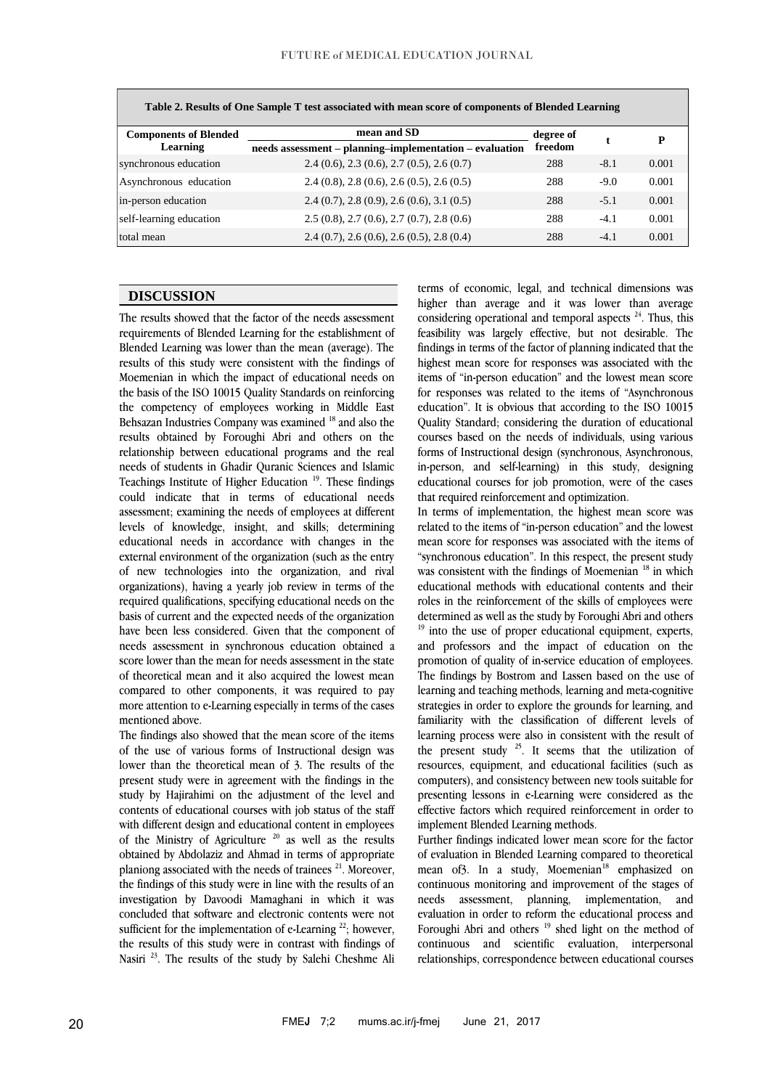| Table 2. Results of One Sample 1 test associated with mean score of components of Biended Learning |                                                         |           |        |       |  |  |  |  |
|----------------------------------------------------------------------------------------------------|---------------------------------------------------------|-----------|--------|-------|--|--|--|--|
| <b>Components of Blended</b>                                                                       | mean and SD                                             | degree of |        | P     |  |  |  |  |
| Learning                                                                                           | needs assessment - planning-implementation - evaluation | freedom   |        |       |  |  |  |  |
| synchronous education                                                                              | $2.4(0.6), 2.3(0.6), 2.7(0.5), 2.6(0.7)$                | 288       | $-8.1$ | 0.001 |  |  |  |  |
| Asynchronous education                                                                             | $2.4(0.8), 2.8(0.6), 2.6(0.5), 2.6(0.5)$                | 288       | $-9.0$ | 0.001 |  |  |  |  |
| in-person education                                                                                | $2.4(0.7), 2.8(0.9), 2.6(0.6), 3.1(0.5)$                | 288       | $-5.1$ | 0.001 |  |  |  |  |
| self-learning education                                                                            | $2.5(0.8), 2.7(0.6), 2.7(0.7), 2.8(0.6)$                | 288       | $-4.1$ | 0.001 |  |  |  |  |
| total mean                                                                                         | $2.4(0.7), 2.6(0.6), 2.6(0.5), 2.8(0.4)$                | 288       | $-4.1$ | 0.001 |  |  |  |  |

**Table 2. Results of One Sample T test associated with mean score of components of Blended Learning**

## **DISCUSSION**

The results showed that the factor of the needs assessment requirements of Blended Learning for the establishment of Blended Learning was lower than the mean (average). The results of this study were consistent with the findings of Moemenian in which the impact of educational needs on the basis of the ISO 10015 Quality Standards on reinforcing the competency of employees working in Middle East Behsazan Industries Company was examined <sup>18</sup> and also the results obtained by Foroughi Abri and others on the relationship between educational programs and the real needs of students in Ghadir Quranic Sciences and Islamic Teachings Institute of Higher Education<sup>19</sup>. These findings could indicate that in terms of educational needs assessment; examining the needs of employees at different levels of knowledge, insight, and skills; determining educational needs in accordance with changes in the external environment of the organization (such as the entry of new technologies into the organization, and rival organizations), having a yearly job review in terms of the required qualifications, specifying educational needs on the basis of current and the expected needs of the organization have been less considered. Given that the component of needs assessment in synchronous education obtained a score lower than the mean for needs assessment in the state of theoretical mean and it also acquired the lowest mean compared to other components, it was required to pay more attention to e-Learning especially in terms of the cases mentioned above.

The findings also showed that the mean score of the items of the use of various forms of Instructional design was lower than the theoretical mean of 3. The results of the present study were in agreement with the findings in the study by Hajirahimi on the adjustment of the level and contents of educational courses with job status of the staff with different design and educational content in employees of the Ministry of Agriculture  $20$  as well as the results obtained by Abdolaziz and Ahmad in terms of appropriate planiong associated with the needs of trainees<sup>21</sup>. Moreover, the findings of this study were in line with the results of an investigation by Davoodi Mamaghani in which it was concluded that software and electronic contents were not sufficient for the implementation of e-Learning  $^{22}$ ; however, the results of this study were in contrast with findings of Nasiri<sup>23</sup>. The results of the study by Salehi Cheshme Ali

terms of economic, legal, and technical dimensions was higher than average and it was lower than average considering operational and temporal aspects <sup>24</sup>. Thus, this feasibility was largely effective, but not desirable. The findings in terms of the factor of planning indicated that the highest mean score for responses was associated with the items of "in-person education" and the lowest mean score for responses was related to the items of "Asynchronous education". It is obvious that according to the ISO 10015 Quality Standard; considering the duration of educational courses based on the needs of individuals, using various forms of Instructional design (synchronous, Asynchronous, in-person, and self-learning) in this study, designing educational courses for job promotion, were of the cases that required reinforcement and optimization.

In terms of implementation, the highest mean score was related to the items of "in-person education" and the lowest mean score for responses was associated with the items of "synchronous education". In this respect, the present study was consistent with the findings of Moemenian <sup>18</sup> in which educational methods with educational contents and their roles in the reinforcement of the skills of employees were determined as well as the study by Foroughi Abri and others  $19$  into the use of proper educational equipment, experts, and professors and the impact of education on the promotion of quality of in-service education of employees. The findings by Bostrom and Lassen based on the use of learning and teaching methods, learning and meta-cognitive strategies in order to explore the grounds for learning, and familiarity with the classification of different levels of learning process were also in consistent with the result of the present study  $^{25}$ . It seems that the utilization of resources, equipment, and educational facilities (such as computers), and consistency between new tools suitable for presenting lessons in e-Learning were considered as the effective factors which required reinforcement in order to implement Blended Learning methods.

Further findings indicated lower mean score for the factor of evaluation in Blended Learning compared to theoretical mean of3. In a study, Moemenian<sup>18</sup> emphasized on continuous monitoring and improvement of the stages of needs assessment, planning, implementation, and evaluation in order to reform the educational process and Foroughi Abri and others<sup>19</sup> shed light on the method of continuous and scientific evaluation, interpersonal relationships, correspondence between educational courses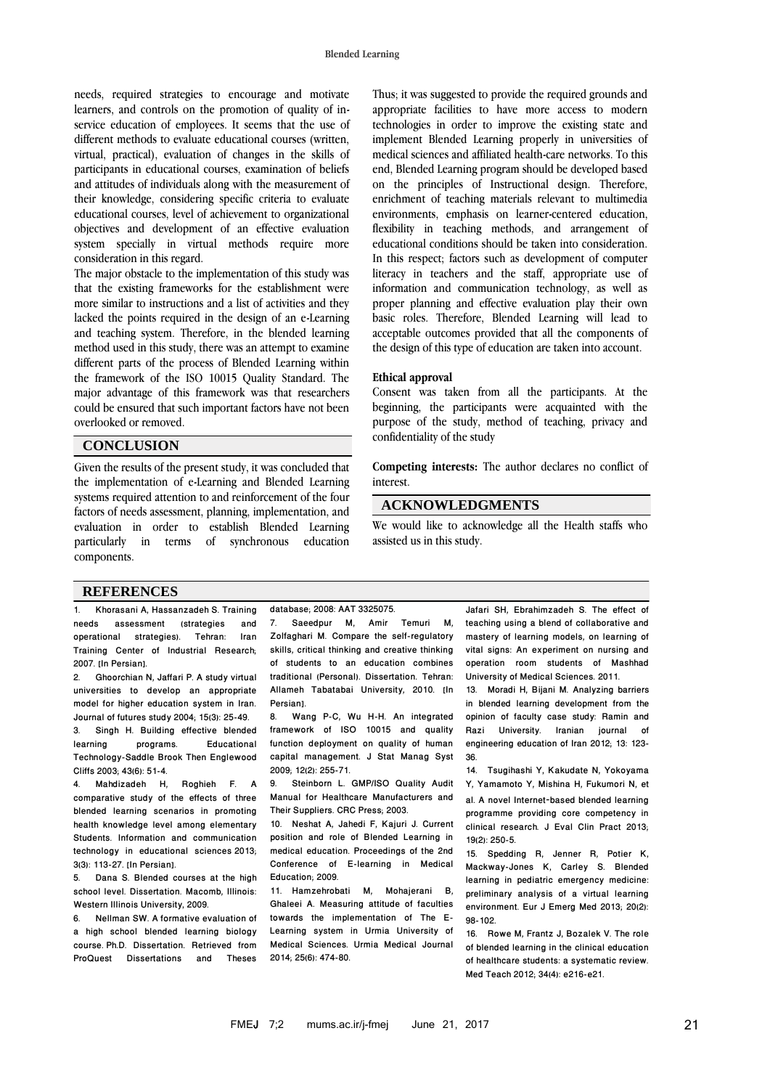needs, required strategies to encourage and motivate learners, and controls on the promotion of quality of inservice education of employees. It seems that the use of different methods to evaluate educational courses (written, virtual, practical), evaluation of changes in the skills of participants in educational courses, examination of beliefs and attitudes of individuals along with the measurement of their knowledge, considering specific criteria to evaluate educational courses, level of achievement to organizational objectives and development of an effective evaluation system specially in virtual methods require more consideration in this regard.

The major obstacle to the implementation of this study was that the existing frameworks for the establishment were more similar to instructions and a list of activities and they lacked the points required in the design of an e-Learning and teaching system. Therefore, in the blended learning method used in this study, there was an attempt to examine different parts of the process of Blended Learning within the framework of the ISO 10015 Quality Standard. The major advantage of this framework was that researchers could be ensured that such important factors have not been overlooked or removed.

#### **CONCLUSION**

Given the results of the present study, it was concluded that the implementation of e-Learning and Blended Learning systems required attention to and reinforcement of the four factors of needs assessment, planning, implementation, and evaluation in order to establish Blended Learning particularly in terms of synchronous education components.

Thus; it was suggested to provide the required grounds and appropriate facilities to have more access to modern technologies in order to improve the existing state and implement Blended Learning properly in universities of medical sciences and affiliated health-care networks. To this end, Blended Learning program should be developed based on the principles of Instructional design. Therefore, enrichment of teaching materials relevant to multimedia environments, emphasis on learner-centered education, flexibility in teaching methods, and arrangement of educational conditions should be taken into consideration. In this respect; factors such as development of computer literacy in teachers and the staff, appropriate use of information and communication technology, as well as proper planning and effective evaluation play their own basic roles. Therefore, Blended Learning will lead to acceptable outcomes provided that all the components of the design of this type of education are taken into account.

#### **Ethical approval**

Consent was taken from all the participants. At the beginning, the participants were acquainted with the purpose of the study, method of teaching, privacy and confidentiality of the study

**Competing interests:** The author declares no conflict of interest.

### **ACKNOWLEDGMENTS**

We would like to acknowledge all the Health staffs who assisted us in this study.

#### **REFERENCES**

1. Khorasani A, Hassanzadeh S. Training needs assessment (strategies and operational strategies). Tehran: Iran Training Center of Industrial Research; 2007. [In Persian].

2. Ghoorchian N, Jaffari P. A study virtual universities to develop an appropriate model for higher education system in Iran. Journal of futures study 2004; 15(3): 25-49. 3. Singh H. Building effective blended<br>learning programs. Educational **Educational** Technology-Saddle Brook Then Englewood Cliffs 2003; 43(6): 51-4.

Roghieh F. A comparative study of the effects of three blended learning scenarios in promoting health knowledge level among elementary Students. [Information and communication](http://en.journals.sid.ir/JournalList.aspx?ID=13431)  [technology in educational sciences](http://en.journals.sid.ir/JournalList.aspx?ID=13431) [2013;](http://en.journals.sid.ir/JournalListPaper.aspx?ID=171603)  [3\(3\):](http://en.journals.sid.ir/JournalListPaper.aspx?ID=171603) 113-27. [In Persian].

Dana S. Blended courses at the high school level. Dissertation. Macomb, Illinois: Western Illinois University, 2009.

6. Nellman SW. A formative evaluation of a high school blended learning biology course. Ph.D. Dissertation. Retrieved from<br>ProQuest Dissertations and Theses ProQuest Dissertations and

database; 2008: AAT 3325075. 7. Saeedpur M, Amir Temuri M, Zolfaghari M. Compare the self-regulatory skills, critical thinking and creative thinking of students to an education combines traditional (Personal). Dissertation. Tehran: Allameh Tabatabai University, 2010. [In Persian].

8. Wang P-C, Wu H-H. An integrated framework of ISO 10015 and quality function deployment on quality of human capital management. J Stat Manag Syst 2009; 12(2): 255-71.<br>9 Steinborn I

Steinborn L. GMP/ISO Quality Audit Manual for Healthcare Manufacturers and Their Suppliers. CRC Press; 2003.

10. Neshat A, Jahedi F, Kajuri J. Current position and role of Blended Learning in medical education. Proceedings of the 2nd Conference of E-learning in Medical Education; 2009.

11. Hamzehrobati M, Mohajerani B, Ghaleei A. Measuring attitude of faculties towards the implementation of The E-Learning system in Urmia University of Medical Sciences. Urmia Medical Journal 2014; 25(6): 474-80.

Jafari SH, Ebrahimzadeh S. The effect of teaching using a blend of collaborative and mastery of learning models, on learning of vital signs: An experiment on nursing and operation room students of Mashhad University of Medical Sciences. 2011.

13. Moradi H, Bijani M. Analyzing barriers in blended learning development from the opinion of faculty case study: Ramin and Razi University. Iranian journal of engineering education of Iran 2012; 13: 123- 36.

14. Tsugihashi Y, Kakudate N, Yokoyama Y, Yamamoto Y, Mishina H, Fukumori N, et al. A novel Internet‐based blended learning programme providing core competency in clinical research. J Eval Clin Pract 2013; 19(2): 250-5.

15. Spedding R, Jenner R, Potier K, Mackway-Jones K, Carley S. Blended learning in pediatric emergency medicine: preliminary analysis of a virtual learning environment. Eur J Emerg Med 2013; 20(2): 98-102.

16. Rowe M, Frantz J, Bozalek V. The role of blended learning in the clinical education of healthcare students: a systematic review. Med Teach 2012; 34(4): e216-e21.